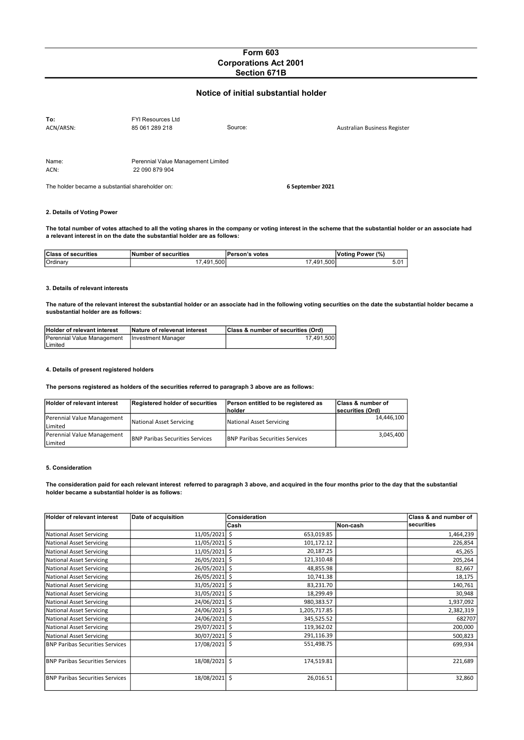## Form 603 Corporations Act 2001 Section 671B

# Notice of initial substantial holder

| To:<br>ACN/ARSN: | <b>FYI Resources Ltd</b><br>85 061 289 218           | Source: | Australian Business Register |
|------------------|------------------------------------------------------|---------|------------------------------|
| Name:<br>ACN:    | Perennial Value Management Limited<br>22 090 879 904 |         |                              |

The holder became a substantial shareholder on: 6 September 2021

## 2. Details of Voting Power

The total number of votes attached to all the voting shares in the company or voting interest in the scheme that the substantial holder or an associate had a relevant interest in on the date the substantial holder are as follows:

| <b>Class of securities</b> | Number of securities | Person's votes | Power (%)<br><b>Votina</b> |
|----------------------------|----------------------|----------------|----------------------------|
| Ordinary                   | .491.500             | 7,491,500      | 5.01                       |

#### 3. Details of relevant interests

The nature of the relevant interest the substantial holder or an associate had in the following voting securities on the date the substantial holder became a susbstantial holder are as follows:

| <b>Holder of relevant interest</b> | Nature of relevenat interest | Class & number of securities (Ord) |
|------------------------------------|------------------------------|------------------------------------|
| Perennial Value Management         | Investment Manager           | 17.491.500                         |
| Limited                            |                              |                                    |

## 4. Details of present registered holders

The persons registered as holders of the securities referred to paragraph 3 above are as follows:

| <b>Holder of relevant interest</b>    | Registered holder of securities         | Person entitled to be registered as<br><b>Inolder</b> | <b>Class &amp; number of</b><br>securities (Ord) |
|---------------------------------------|-----------------------------------------|-------------------------------------------------------|--------------------------------------------------|
| Perennial Value Management<br>Limited | National Asset Servicing                | National Asset Servicing                              | 14.446.100                                       |
| Perennial Value Management<br>Limited | <b>IBNP Paribas Securities Services</b> | <b>IBNP Paribas Securities Services</b>               | 3.045.400                                        |

#### 5. Consideration

The consideration paid for each relevant interest referred to paragraph 3 above, and acquired in the four months prior to the day that the substantial holder became a substantial holder is as follows:

| <b>Holder of relevant interest</b>     | Date of acquisition | <b>Consideration</b> |          | Class & and number of |
|----------------------------------------|---------------------|----------------------|----------|-----------------------|
|                                        |                     | lCash                | Non-cash | securities            |
| <b>National Asset Servicing</b>        | 11/05/2021 \$       | 653,019.85           |          | 1,464,239             |
| <b>National Asset Servicing</b>        | 11/05/2021 \$       | 101,172.12           |          | 226,854               |
| <b>National Asset Servicing</b>        | 11/05/2021 \$       | 20,187.25            |          | 45,265                |
| <b>National Asset Servicing</b>        | 26/05/2021 \$       | 121,310.48           |          | 205,264               |
| <b>National Asset Servicing</b>        | 26/05/2021 \$       | 48,855.98            |          | 82,667                |
| <b>National Asset Servicing</b>        | 26/05/2021 \$       | 10,741.38            |          | 18,175                |
| <b>National Asset Servicing</b>        | 31/05/2021 \$       | 83,231.70            |          | 140,761               |
| <b>National Asset Servicing</b>        | 31/05/2021 \$       | 18,299.49            |          | 30,948                |
| <b>National Asset Servicing</b>        | 24/06/2021 \$       | 980,383.57           |          | 1,937,092             |
| <b>National Asset Servicing</b>        | 24/06/2021 \$       | 1,205,717.85         |          | 2,382,319             |
| <b>National Asset Servicing</b>        | 24/06/2021 \$       | 345,525.52           |          | 682707                |
| <b>National Asset Servicing</b>        | 29/07/2021 \$       | 119,362.02           |          | 200,000               |
| <b>National Asset Servicing</b>        | 30/07/2021 \$       | 291,116.39           |          | 500,823               |
| <b>BNP Paribas Securities Services</b> | 17/08/2021 \$       | 551,498.75           |          | 699,934               |
| <b>BNP Paribas Securities Services</b> | 18/08/2021 \$       | 174,519.81           |          | 221,689               |
| <b>BNP Paribas Securities Services</b> | 18/08/2021 \$       | 26,016.51            |          | 32,860                |